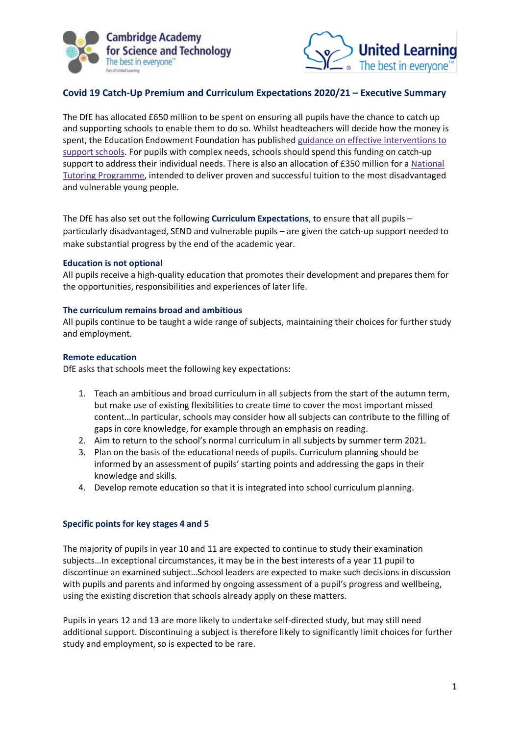



# **Covid 19 Catch-Up Premium and Curriculum Expectations 2020/21 – Executive Summary**

The DfE has allocated £650 million to be spent on ensuring all pupils have the chance to catch up and supporting schools to enable them to do so. Whilst headteachers will decide how the money is spent, the Education Endowment Foundation has published guidance on effective [interventions](https://educationendowmentfoundation.org.uk/covid-19-resources/covid-19-support-guide-for-schools/) to support [schools.](https://educationendowmentfoundation.org.uk/covid-19-resources/covid-19-support-guide-for-schools/) For pupils with complex needs, schools should spend this funding on catch-up support to address their individual needs. There is also an allocation of £350 million for a [National](https://educationendowmentfoundation.org.uk/covid-19-resources/national-tutoring-programme/) Tutoring [Programme,](https://educationendowmentfoundation.org.uk/covid-19-resources/national-tutoring-programme/) intended to deliver proven and successful tuition to the most disadvantaged and vulnerable young people.

The DfE has also set out the following **Curriculum Expectations**, to ensure that all pupils – particularly disadvantaged, SEND and vulnerable pupils – are given the catch-up support needed to make substantial progress by the end of the academic year.

### **Education is not optional**

All pupils receive a high-quality education that promotes their development and prepares them for the opportunities, responsibilities and experiences of later life.

### **The curriculum remains broad and ambitious**

All pupils continue to be taught a wide range of subjects, maintaining their choices for further study and employment.

### **Remote education**

DfE asks that schools meet the following key expectations:

- 1. Teach an ambitious and broad curriculum in all subjects from the start of the autumn term, but make use of existing flexibilities to create time to cover the most important missed content…In particular, schools may consider how all subjects can contribute to the filling of gaps in core knowledge, for example through an emphasis on reading.
- 2. Aim to return to the school's normal curriculum in all subjects by summer term 2021.
- 3. Plan on the basis of the educational needs of pupils. Curriculum planning should be informed by an assessment of pupils' starting points and addressing the gaps in their knowledge and skills.
- 4. Develop remote education so that it is integrated into school curriculum planning.

# **Specific points for key stages 4 and 5**

The majority of pupils in year 10 and 11 are expected to continue to study their examination subjects…In exceptional circumstances, it may be in the best interests of a year 11 pupil to discontinue an examined subject…School leaders are expected to make such decisions in discussion with pupils and parents and informed by ongoing assessment of a pupil's progress and wellbeing, using the existing discretion that schools already apply on these matters.

Pupils in years 12 and 13 are more likely to undertake self-directed study, but may still need additional support. Discontinuing a subject is therefore likely to significantly limit choices for further study and employment, so is expected to be rare.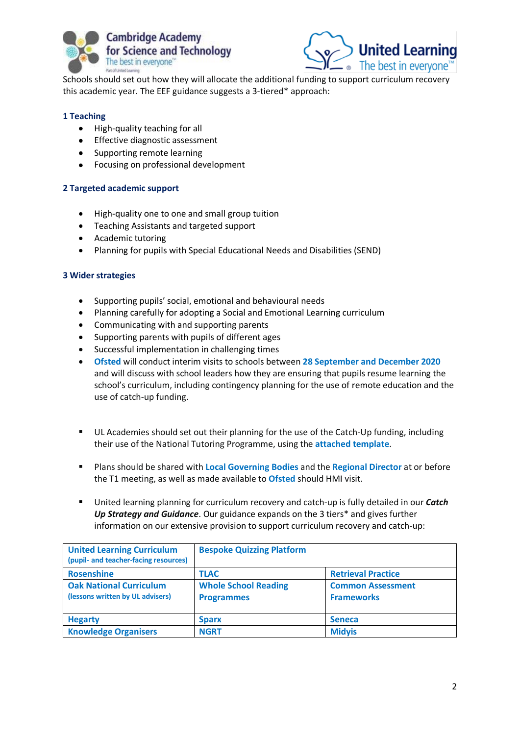



Schools should set out how they will allocate the additional funding to support curriculum recovery this academic year. The EEF guidance suggests a 3-tiered\* approach:

# **1 Teaching**

- High-quality teaching for all
- Effective diagnostic assessment
- Supporting remote learning
- Focusing on professional development

# **2 Targeted academic support**

- High-quality one to one and small group tuition
- Teaching Assistants and targeted support
- Academic tutoring
- Planning for pupils with Special Educational Needs and Disabilities (SEND)

# **3 Wider strategies**

- Supporting pupils' social, emotional and behavioural needs
- Planning carefully for adopting a Social and Emotional Learning curriculum
- Communicating with and supporting parents
- Supporting parents with pupils of different ages
- Successful implementation in challenging times
- **Ofsted** will conduct interim visits to schools between **28 September and December 2020** and will discuss with school leaders how they are ensuring that pupils resume learning the school's curriculum, including contingency planning for the use of remote education and the use of catch-up funding.
- UL Academies should set out their planning for the use of the Catch-Up funding, including their use of the National Tutoring Programme, using the **attached template**.
- Plans should be shared with **Local Governing Bodies** and the **Regional Director** at or before the T1 meeting, as well as made available to **Ofsted** should HMI visit.
- United learning planning for curriculum recovery and catch-up is fully detailed in our *Catch Up Strategy and Guidance*. Our guidance expands on the 3 tiers\* and gives further information on our extensive provision to support curriculum recovery and catch-up:

| <b>United Learning Curriculum</b><br>(pupil- and teacher-facing resources) | <b>Bespoke Quizzing Platform</b>                 |                                               |
|----------------------------------------------------------------------------|--------------------------------------------------|-----------------------------------------------|
| <b>Rosenshine</b>                                                          | <b>TLAC</b>                                      | <b>Retrieval Practice</b>                     |
| <b>Oak National Curriculum</b><br>(lessons written by UL advisers)         | <b>Whole School Reading</b><br><b>Programmes</b> | <b>Common Assessment</b><br><b>Frameworks</b> |
| <b>Hegarty</b>                                                             | <b>Sparx</b>                                     | <b>Seneca</b>                                 |
| <b>Knowledge Organisers</b>                                                | <b>NGRT</b>                                      | <b>Midyis</b>                                 |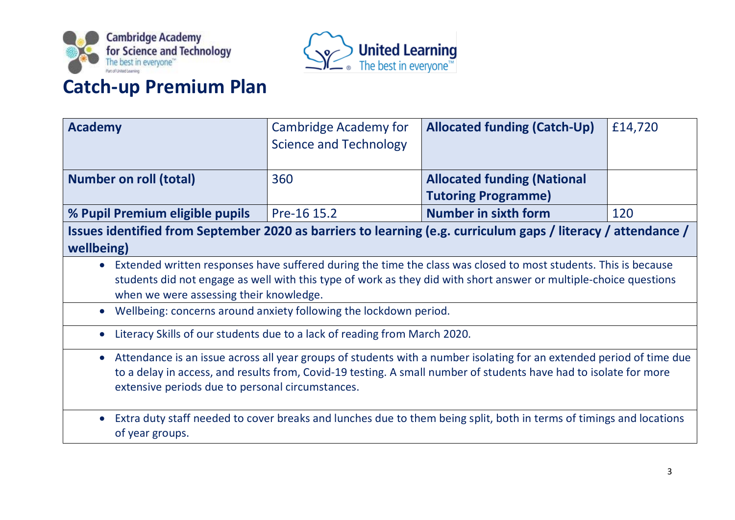



# **Catch-up Premium Plan**

| <b>Academy</b>                                                                                                                   | Cambridge Academy for         | <b>Allocated funding (Catch-Up)</b>                                                                                    | £14,720 |  |
|----------------------------------------------------------------------------------------------------------------------------------|-------------------------------|------------------------------------------------------------------------------------------------------------------------|---------|--|
|                                                                                                                                  | <b>Science and Technology</b> |                                                                                                                        |         |  |
|                                                                                                                                  |                               |                                                                                                                        |         |  |
| <b>Number on roll (total)</b>                                                                                                    | 360                           | <b>Allocated funding (National</b>                                                                                     |         |  |
|                                                                                                                                  |                               | <b>Tutoring Programme)</b>                                                                                             |         |  |
| % Pupil Premium eligible pupils                                                                                                  | Pre-16 15.2                   | <b>Number in sixth form</b>                                                                                            | 120     |  |
| Issues identified from September 2020 as barriers to learning (e.g. curriculum gaps / literacy / attendance /                    |                               |                                                                                                                        |         |  |
| wellbeing)                                                                                                                       |                               |                                                                                                                        |         |  |
|                                                                                                                                  |                               | • Extended written responses have suffered during the time the class was closed to most students. This is because      |         |  |
|                                                                                                                                  |                               | students did not engage as well with this type of work as they did with short answer or multiple-choice questions      |         |  |
| when we were assessing their knowledge.                                                                                          |                               |                                                                                                                        |         |  |
| Wellbeing: concerns around anxiety following the lockdown period.                                                                |                               |                                                                                                                        |         |  |
| Literacy Skills of our students due to a lack of reading from March 2020.                                                        |                               |                                                                                                                        |         |  |
|                                                                                                                                  |                               | • Attendance is an issue across all year groups of students with a number isolating for an extended period of time due |         |  |
| to a delay in access, and results from, Covid-19 testing. A small number of students have had to isolate for more                |                               |                                                                                                                        |         |  |
| extensive periods due to personal circumstances.                                                                                 |                               |                                                                                                                        |         |  |
|                                                                                                                                  |                               |                                                                                                                        |         |  |
| Extra duty staff needed to cover breaks and lunches due to them being split, both in terms of timings and locations<br>$\bullet$ |                               |                                                                                                                        |         |  |
| of year groups.                                                                                                                  |                               |                                                                                                                        |         |  |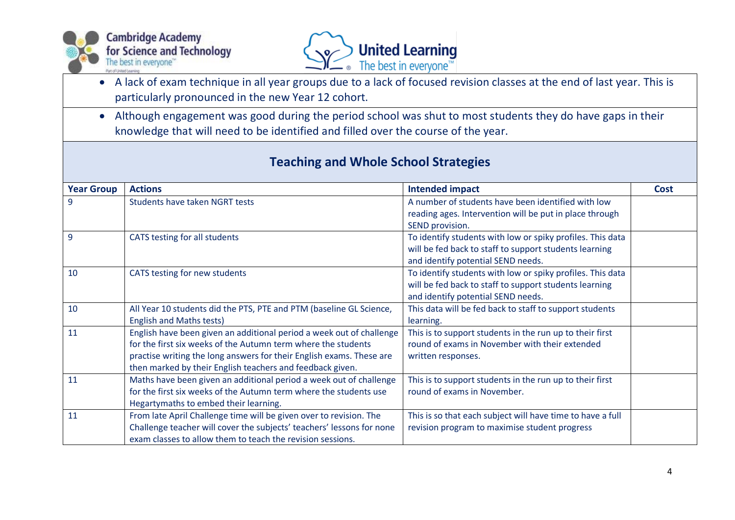



- A lack of exam technique in all year groups due to a lack of focused revision classes at the end of last year. This is particularly pronounced in the new Year 12 cohort.
- Although engagement was good during the period school was shut to most students they do have gaps in their knowledge that will need to be identified and filled over the course of the year.

| <b>Year Group</b> | <b>Actions</b>                                                        | <b>Intended impact</b>                                     | <b>Cost</b> |
|-------------------|-----------------------------------------------------------------------|------------------------------------------------------------|-------------|
| 9                 | Students have taken NGRT tests                                        | A number of students have been identified with low         |             |
|                   |                                                                       | reading ages. Intervention will be put in place through    |             |
|                   |                                                                       | SEND provision.                                            |             |
| $\overline{9}$    | CATS testing for all students                                         | To identify students with low or spiky profiles. This data |             |
|                   |                                                                       | will be fed back to staff to support students learning     |             |
|                   |                                                                       | and identify potential SEND needs.                         |             |
| 10                | CATS testing for new students                                         | To identify students with low or spiky profiles. This data |             |
|                   |                                                                       | will be fed back to staff to support students learning     |             |
|                   |                                                                       | and identify potential SEND needs.                         |             |
| 10                | All Year 10 students did the PTS, PTE and PTM (baseline GL Science,   | This data will be fed back to staff to support students    |             |
|                   | <b>English and Maths tests)</b>                                       | learning.                                                  |             |
| 11                | English have been given an additional period a week out of challenge  | This is to support students in the run up to their first   |             |
|                   | for the first six weeks of the Autumn term where the students         | round of exams in November with their extended             |             |
|                   | practise writing the long answers for their English exams. These are  | written responses.                                         |             |
|                   | then marked by their English teachers and feedback given.             |                                                            |             |
| 11                | Maths have been given an additional period a week out of challenge    | This is to support students in the run up to their first   |             |
|                   | for the first six weeks of the Autumn term where the students use     | round of exams in November.                                |             |
|                   | Hegartymaths to embed their learning.                                 |                                                            |             |
| 11                | From late April Challenge time will be given over to revision. The    | This is so that each subject will have time to have a full |             |
|                   | Challenge teacher will cover the subjects' teachers' lessons for none | revision program to maximise student progress              |             |
|                   | exam classes to allow them to teach the revision sessions.            |                                                            |             |

# **Teaching and Whole School Strategies**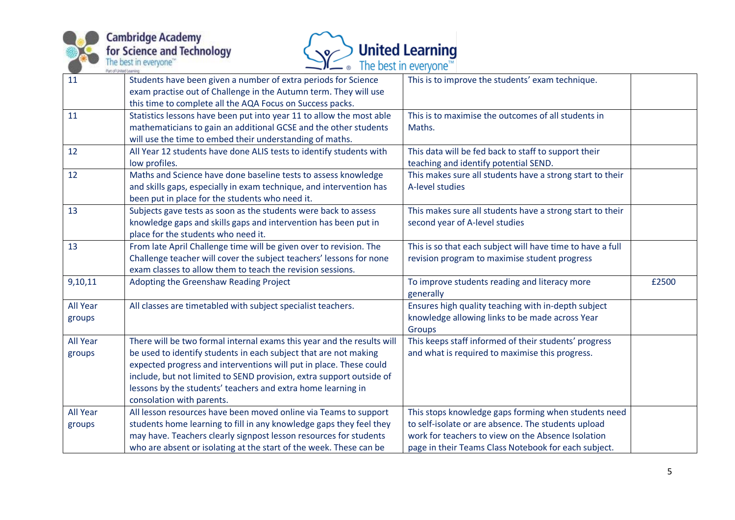



| 11              | Students have been given a number of extra periods for Science         | This is to improve the students' exam technique.           |       |
|-----------------|------------------------------------------------------------------------|------------------------------------------------------------|-------|
|                 | exam practise out of Challenge in the Autumn term. They will use       |                                                            |       |
|                 | this time to complete all the AQA Focus on Success packs.              |                                                            |       |
| 11              | Statistics lessons have been put into year 11 to allow the most able   | This is to maximise the outcomes of all students in        |       |
|                 | mathematicians to gain an additional GCSE and the other students       | Maths.                                                     |       |
|                 | will use the time to embed their understanding of maths.               |                                                            |       |
| 12              | All Year 12 students have done ALIS tests to identify students with    | This data will be fed back to staff to support their       |       |
|                 | low profiles.                                                          | teaching and identify potential SEND.                      |       |
| 12              | Maths and Science have done baseline tests to assess knowledge         | This makes sure all students have a strong start to their  |       |
|                 | and skills gaps, especially in exam technique, and intervention has    | A-level studies                                            |       |
|                 | been put in place for the students who need it.                        |                                                            |       |
| 13              | Subjects gave tests as soon as the students were back to assess        | This makes sure all students have a strong start to their  |       |
|                 | knowledge gaps and skills gaps and intervention has been put in        | second year of A-level studies                             |       |
|                 | place for the students who need it.                                    |                                                            |       |
| 13              | From late April Challenge time will be given over to revision. The     | This is so that each subject will have time to have a full |       |
|                 | Challenge teacher will cover the subject teachers' lessons for none    | revision program to maximise student progress              |       |
|                 | exam classes to allow them to teach the revision sessions.             |                                                            |       |
| 9,10,11         | Adopting the Greenshaw Reading Project                                 | To improve students reading and literacy more              | £2500 |
|                 |                                                                        | generally                                                  |       |
| All Year        | All classes are timetabled with subject specialist teachers.           | Ensures high quality teaching with in-depth subject        |       |
| groups          |                                                                        | knowledge allowing links to be made across Year            |       |
|                 |                                                                        | Groups                                                     |       |
| <b>All Year</b> | There will be two formal internal exams this year and the results will | This keeps staff informed of their students' progress      |       |
| groups          | be used to identify students in each subject that are not making       | and what is required to maximise this progress.            |       |
|                 | expected progress and interventions will put in place. These could     |                                                            |       |
|                 | include, but not limited to SEND provision, extra support outside of   |                                                            |       |
|                 | lessons by the students' teachers and extra home learning in           |                                                            |       |
|                 | consolation with parents.                                              |                                                            |       |
| <b>All Year</b> | All lesson resources have been moved online via Teams to support       | This stops knowledge gaps forming when students need       |       |
| groups          | students home learning to fill in any knowledge gaps they feel they    | to self-isolate or are absence. The students upload        |       |
|                 | may have. Teachers clearly signpost lesson resources for students      | work for teachers to view on the Absence Isolation         |       |
|                 | who are absent or isolating at the start of the week. These can be     | page in their Teams Class Notebook for each subject.       |       |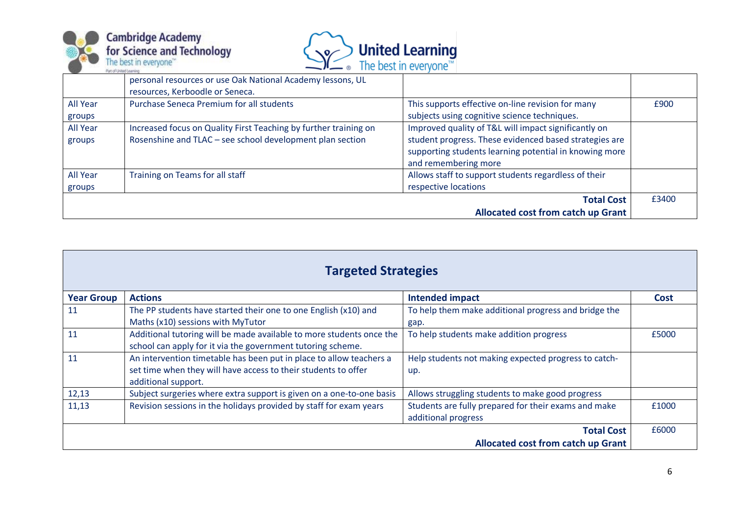



|          | personal resources or use Oak National Academy lessons, UL       |                                                        |       |
|----------|------------------------------------------------------------------|--------------------------------------------------------|-------|
|          | resources, Kerboodle or Seneca.                                  |                                                        |       |
| All Year | <b>Purchase Seneca Premium for all students</b>                  | This supports effective on-line revision for many      | £900  |
| groups   |                                                                  | subjects using cognitive science techniques.           |       |
| All Year | Increased focus on Quality First Teaching by further training on | Improved quality of T&L will impact significantly on   |       |
| groups   | Rosenshine and TLAC - see school development plan section        | student progress. These evidenced based strategies are |       |
|          |                                                                  | supporting students learning potential in knowing more |       |
|          |                                                                  | and remembering more                                   |       |
| All Year | Training on Teams for all staff                                  | Allows staff to support students regardless of their   |       |
| groups   |                                                                  | respective locations                                   |       |
|          |                                                                  | <b>Total Cost</b>                                      | £3400 |
|          |                                                                  | <b>Allocated cost from catch up Grant</b>              |       |

| <b>Targeted Strategies</b>                |                                                                      |                                                      |       |
|-------------------------------------------|----------------------------------------------------------------------|------------------------------------------------------|-------|
| <b>Year Group</b>                         | <b>Actions</b>                                                       | <b>Intended impact</b>                               | Cost  |
| 11                                        | The PP students have started their one to one English (x10) and      | To help them make additional progress and bridge the |       |
|                                           | Maths (x10) sessions with MyTutor                                    | gap.                                                 |       |
| 11                                        | Additional tutoring will be made available to more students once the | To help students make addition progress              | £5000 |
|                                           | school can apply for it via the government tutoring scheme.          |                                                      |       |
| 11                                        | An intervention timetable has been put in place to allow teachers a  | Help students not making expected progress to catch- |       |
|                                           | set time when they will have access to their students to offer       | up.                                                  |       |
|                                           | additional support.                                                  |                                                      |       |
| 12,13                                     | Subject surgeries where extra support is given on a one-to-one basis | Allows struggling students to make good progress     |       |
| 11,13                                     | Revision sessions in the holidays provided by staff for exam years   | Students are fully prepared for their exams and make | £1000 |
|                                           |                                                                      | additional progress                                  |       |
| <b>Total Cost</b>                         |                                                                      |                                                      | £6000 |
| <b>Allocated cost from catch up Grant</b> |                                                                      |                                                      |       |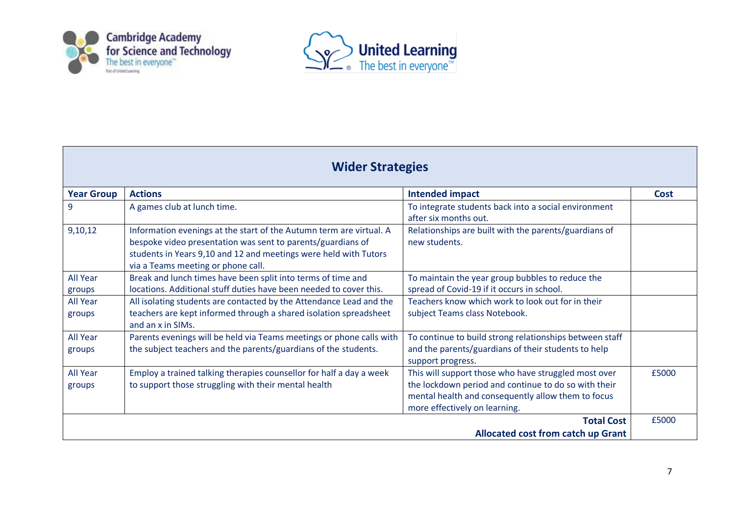



| <b>Wider Strategies</b>                                        |                                                                                                                                                                                                                                              |                                                                                                                                                                                                     |             |
|----------------------------------------------------------------|----------------------------------------------------------------------------------------------------------------------------------------------------------------------------------------------------------------------------------------------|-----------------------------------------------------------------------------------------------------------------------------------------------------------------------------------------------------|-------------|
| <b>Year Group</b>                                              | <b>Actions</b>                                                                                                                                                                                                                               | <b>Intended impact</b>                                                                                                                                                                              | <b>Cost</b> |
| 9                                                              | A games club at lunch time.                                                                                                                                                                                                                  | To integrate students back into a social environment<br>after six months out.                                                                                                                       |             |
| 9,10,12                                                        | Information evenings at the start of the Autumn term are virtual. A<br>bespoke video presentation was sent to parents/guardians of<br>students in Years 9,10 and 12 and meetings were held with Tutors<br>via a Teams meeting or phone call. | Relationships are built with the parents/guardians of<br>new students.                                                                                                                              |             |
| <b>All Year</b><br>groups                                      | Break and lunch times have been split into terms of time and<br>locations. Additional stuff duties have been needed to cover this.                                                                                                           | To maintain the year group bubbles to reduce the<br>spread of Covid-19 if it occurs in school.                                                                                                      |             |
| <b>All Year</b><br>groups                                      | All isolating students are contacted by the Attendance Lead and the<br>teachers are kept informed through a shared isolation spreadsheet<br>and an x in SIMs.                                                                                | Teachers know which work to look out for in their<br>subject Teams class Notebook.                                                                                                                  |             |
| <b>All Year</b><br>groups                                      | Parents evenings will be held via Teams meetings or phone calls with<br>the subject teachers and the parents/guardians of the students.                                                                                                      | To continue to build strong relationships between staff<br>and the parents/guardians of their students to help<br>support progress.                                                                 |             |
| <b>All Year</b><br>groups                                      | Employ a trained talking therapies counsellor for half a day a week<br>to support those struggling with their mental health                                                                                                                  | This will support those who have struggled most over<br>the lockdown period and continue to do so with their<br>mental health and consequently allow them to focus<br>more effectively on learning. | £5000       |
| <b>Total Cost</b><br><b>Allocated cost from catch up Grant</b> |                                                                                                                                                                                                                                              |                                                                                                                                                                                                     | £5000       |